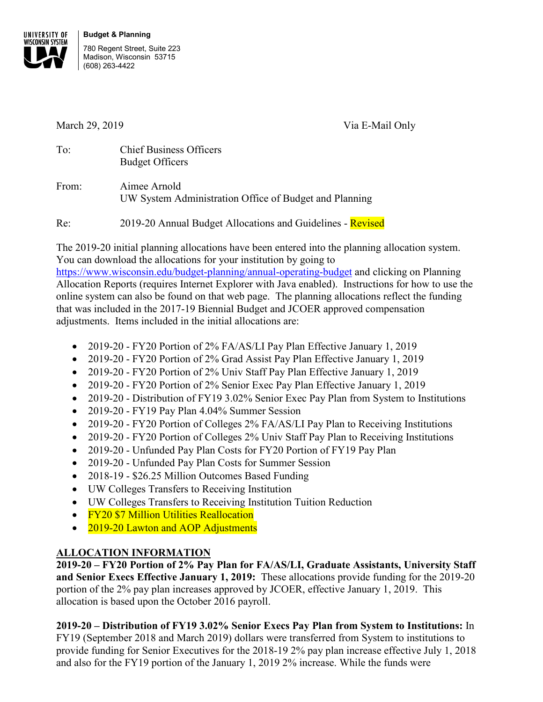

March 29, 2019 Via E-Mail Only

| $To^{\cdot}$ | <b>Chief Business Officers</b><br><b>Budget Officers</b>               |
|--------------|------------------------------------------------------------------------|
| From:        | Aimee Arnold<br>UW System Administration Office of Budget and Planning |

Re: 2019-20 Annual Budget Allocations and Guidelines - Revised

The 2019-20 initial planning allocations have been entered into the planning allocation system. You can download the allocations for your institution by going to

<https://www.wisconsin.edu/budget-planning/annual-operating-budget> and clicking on Planning Allocation Reports (requires Internet Explorer with Java enabled). Instructions for how to use the online system can also be found on that web page. The planning allocations reflect the funding that was included in the 2017-19 Biennial Budget and JCOER approved compensation adjustments. Items included in the initial allocations are:

- 2019-20 FY20 Portion of 2% FA/AS/LI Pay Plan Effective January 1, 2019
- 2019-20 FY20 Portion of 2% Grad Assist Pay Plan Effective January 1, 2019
- 2019-20 FY20 Portion of 2% Univ Staff Pay Plan Effective January 1, 2019
- 2019-20 FY20 Portion of 2% Senior Exec Pay Plan Effective January 1, 2019
- 2019-20 Distribution of FY19 3.02% Senior Exec Pay Plan from System to Institutions
- 2019-20 FY19 Pay Plan 4.04% Summer Session
- 2019-20 FY20 Portion of Colleges 2% FA/AS/LI Pay Plan to Receiving Institutions
- 2019-20 FY20 Portion of Colleges 2% Univ Staff Pay Plan to Receiving Institutions
- 2019-20 Unfunded Pay Plan Costs for FY20 Portion of FY19 Pay Plan
- 2019-20 Unfunded Pay Plan Costs for Summer Session
- 2018-19 \$26.25 Million Outcomes Based Funding
- UW Colleges Transfers to Receiving Institution
- UW Colleges Transfers to Receiving Institution Tuition Reduction
- FY20 \$7 Million Utilities Reallocation
- 2019-20 Lawton and AOP Adjustments

## **ALLOCATION INFORMATION**

**2019-20 – FY20 Portion of 2% Pay Plan for FA/AS/LI, Graduate Assistants, University Staff and Senior Execs Effective January 1, 2019:** These allocations provide funding for the 2019-20 portion of the 2% pay plan increases approved by JCOER, effective January 1, 2019. This allocation is based upon the October 2016 payroll.

**2019-20 – Distribution of FY19 3.02% Senior Execs Pay Plan from System to Institutions:** In FY19 (September 2018 and March 2019) dollars were transferred from System to institutions to provide funding for Senior Executives for the 2018-19 2% pay plan increase effective July 1, 2018 and also for the FY19 portion of the January 1, 2019 2% increase. While the funds were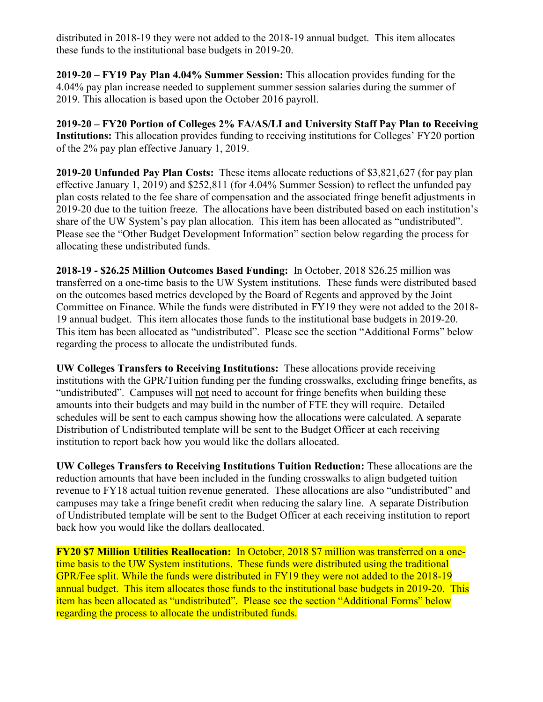distributed in 2018-19 they were not added to the 2018-19 annual budget. This item allocates these funds to the institutional base budgets in 2019-20.

**2019-20 – FY19 Pay Plan 4.04% Summer Session:** This allocation provides funding for the 4.04% pay plan increase needed to supplement summer session salaries during the summer of 2019. This allocation is based upon the October 2016 payroll.

**2019-20 – FY20 Portion of Colleges 2% FA/AS/LI and University Staff Pay Plan to Receiving Institutions:** This allocation provides funding to receiving institutions for Colleges' FY20 portion of the 2% pay plan effective January 1, 2019.

**2019-20 Unfunded Pay Plan Costs:** These items allocate reductions of \$3,821,627 (for pay plan effective January 1, 2019) and \$252,811 (for 4.04% Summer Session) to reflect the unfunded pay plan costs related to the fee share of compensation and the associated fringe benefit adjustments in 2019-20 due to the tuition freeze. The allocations have been distributed based on each institution's share of the UW System's pay plan allocation. This item has been allocated as "undistributed". Please see the "Other Budget Development Information" section below regarding the process for allocating these undistributed funds.

**2018-19 - \$26.25 Million Outcomes Based Funding:** In October, 2018 \$26.25 million was transferred on a one-time basis to the UW System institutions. These funds were distributed based on the outcomes based metrics developed by the Board of Regents and approved by the Joint Committee on Finance. While the funds were distributed in FY19 they were not added to the 2018- 19 annual budget. This item allocates those funds to the institutional base budgets in 2019-20. This item has been allocated as "undistributed". Please see the section "Additional Forms" below regarding the process to allocate the undistributed funds.

**UW Colleges Transfers to Receiving Institutions:** These allocations provide receiving institutions with the GPR/Tuition funding per the funding crosswalks, excluding fringe benefits, as "undistributed". Campuses will not need to account for fringe benefits when building these amounts into their budgets and may build in the number of FTE they will require. Detailed schedules will be sent to each campus showing how the allocations were calculated. A separate Distribution of Undistributed template will be sent to the Budget Officer at each receiving institution to report back how you would like the dollars allocated.

**UW Colleges Transfers to Receiving Institutions Tuition Reduction:** These allocations are the reduction amounts that have been included in the funding crosswalks to align budgeted tuition revenue to FY18 actual tuition revenue generated. These allocations are also "undistributed" and campuses may take a fringe benefit credit when reducing the salary line. A separate Distribution of Undistributed template will be sent to the Budget Officer at each receiving institution to report back how you would like the dollars deallocated.

**FY20 \$7 Million Utilities Reallocation:** In October, 2018 \$7 million was transferred on a onetime basis to the UW System institutions. These funds were distributed using the traditional GPR/Fee split. While the funds were distributed in FY19 they were not added to the 2018-19 annual budget. This item allocates those funds to the institutional base budgets in 2019-20. This item has been allocated as "undistributed". Please see the section "Additional Forms" below regarding the process to allocate the undistributed funds.